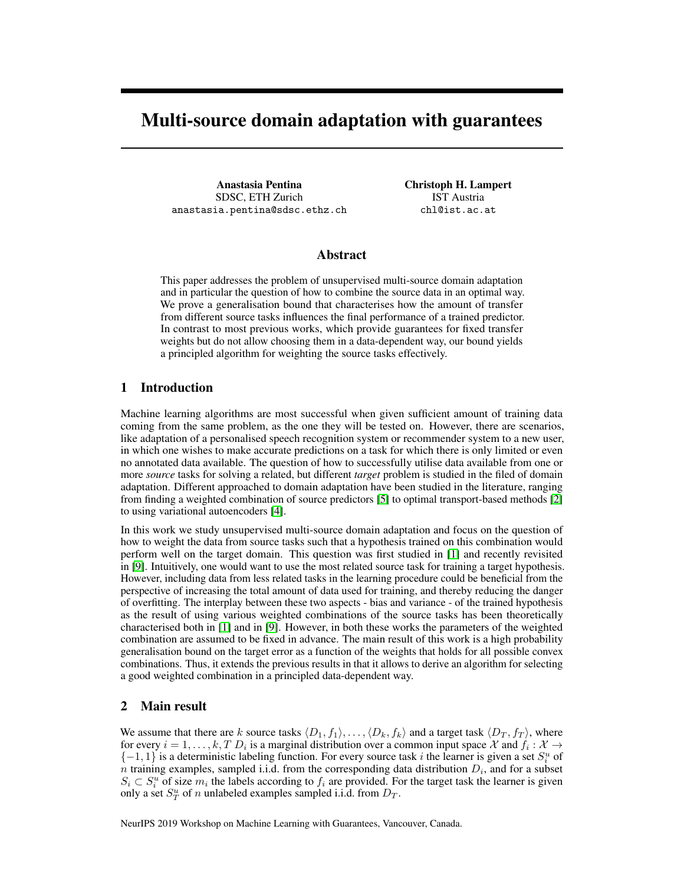# Multi-source domain adaptation with guarantees

Anastasia Pentina SDSC, ETH Zurich anastasia.pentina@sdsc.ethz.ch Christoph H. Lampert IST Austria chl@ist.ac.at

### Abstract

This paper addresses the problem of unsupervised multi-source domain adaptation and in particular the question of how to combine the source data in an optimal way. We prove a generalisation bound that characterises how the amount of transfer from different source tasks influences the final performance of a trained predictor. In contrast to most previous works, which provide guarantees for fixed transfer weights but do not allow choosing them in a data-dependent way, our bound yields a principled algorithm for weighting the source tasks effectively.

## 1 Introduction

Machine learning algorithms are most successful when given sufficient amount of training data coming from the same problem, as the one they will be tested on. However, there are scenarios, like adaptation of a personalised speech recognition system or recommender system to a new user, in which one wishes to make accurate predictions on a task for which there is only limited or even no annotated data available. The question of how to successfully utilise data available from one or more *source* tasks for solving a related, but different *target* problem is studied in the filed of domain adaptation. Different approached to domain adaptation have been studied in the literature, ranging from finding a weighted combination of source predictors [\[5\]](#page-3-0) to optimal transport-based methods [\[2\]](#page-3-1) to using variational autoencoders [\[4\]](#page-3-2).

In this work we study unsupervised multi-source domain adaptation and focus on the question of how to weight the data from source tasks such that a hypothesis trained on this combination would perform well on the target domain. This question was first studied in [\[1\]](#page-3-3) and recently revisited in [\[9\]](#page-3-4). Intuitively, one would want to use the most related source task for training a target hypothesis. However, including data from less related tasks in the learning procedure could be beneficial from the perspective of increasing the total amount of data used for training, and thereby reducing the danger of overfitting. The interplay between these two aspects - bias and variance - of the trained hypothesis as the result of using various weighted combinations of the source tasks has been theoretically characterised both in [\[1\]](#page-3-3) and in [\[9\]](#page-3-4). However, in both these works the parameters of the weighted combination are assumed to be fixed in advance. The main result of this work is a high probability generalisation bound on the target error as a function of the weights that holds for all possible convex combinations. Thus, it extends the previous results in that it allows to derive an algorithm for selecting a good weighted combination in a principled data-dependent way.

### 2 Main result

We assume that there are k source tasks  $\langle D_1, f_1 \rangle, \ldots, \langle D_k, f_k \rangle$  and a target task  $\langle D_T, f_T \rangle$ , where for every  $i = 1, ..., k, T D_i$  is a marginal distribution over a common input space X and  $f_i : X \to Y$  $\{-1, 1\}$  is a deterministic labeling function. For every source task i the learner is given a set  $S_i^u$  of *n* training examples, sampled i.i.d. from the corresponding data distribution  $D_i$ , and for a subset  $S_i \subset S_i^u$  of size  $m_i$  the labels according to  $f_i$  are provided. For the target task the learner is given only a set  $S_T^u$  of n unlabeled examples sampled i.i.d. from  $D_T$ .

NeurIPS 2019 Workshop on Machine Learning with Guarantees, Vancouver, Canada.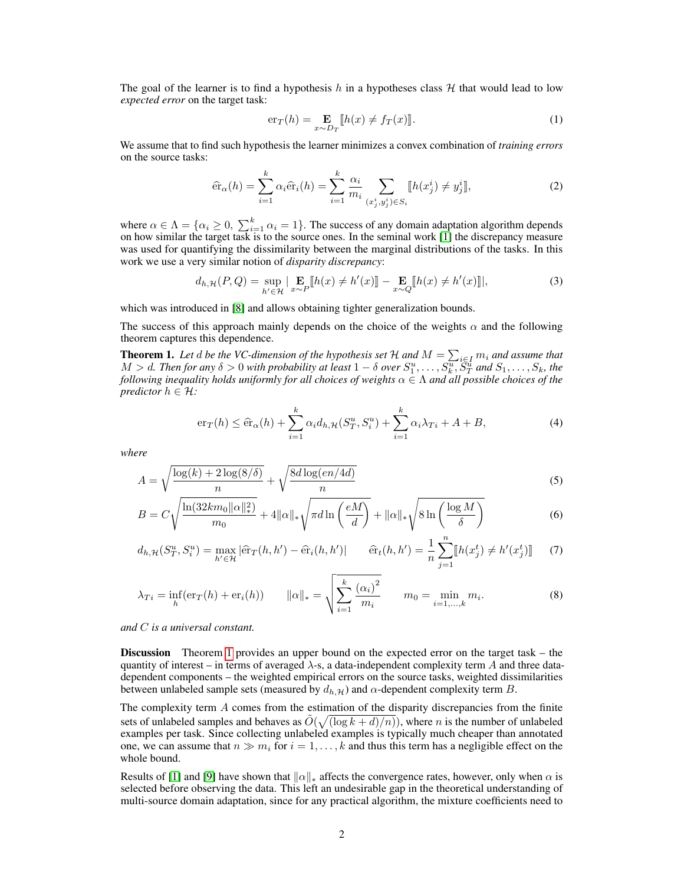The goal of the learner is to find a hypothesis h in a hypotheses class  $H$  that would lead to low *expected error* on the target task:

$$
\mathrm{er}_{T}(h) = \mathop{\mathbf{E}}_{x \sim D_{T}}[h(x) \neq f_{T}(x)]. \tag{1}
$$

We assume that to find such hypothesis the learner minimizes a convex combination of *training errors* on the source tasks:

$$
\hat{\text{er}}_{\alpha}(h) = \sum_{i=1}^{k} \alpha_i \hat{\text{er}}_i(h) = \sum_{i=1}^{k} \frac{\alpha_i}{m_i} \sum_{(x_j^i, y_j^i) \in S_i} [[h(x_j^i) \neq y_j^i]], \tag{2}
$$

where  $\alpha \in \Lambda = \{\alpha_i \geq 0, \sum_{i=1}^k \alpha_i = 1\}$ . The success of any domain adaptation algorithm depends on how similar the target task is to the source ones. In the seminal work [\[1\]](#page-3-3) the discrepancy measure was used for quantifying the dissimilarity between the marginal distributions of the tasks. In this work we use a very similar notion of *disparity discrepancy*:

$$
d_{h,\mathcal{H}}(P,Q) = \sup_{h' \in \mathcal{H}} \left| \mathop{\mathbf{E}}_{x \sim P} \left[ h(x) \neq h'(x) \right] \right| - \mathop{\mathbf{E}}_{x \sim Q} \left[ h(x) \neq h'(x) \right] \right|,\tag{3}
$$

which was introduced in [\[8\]](#page-3-5) and allows obtaining tighter generalization bounds.

The success of this approach mainly depends on the choice of the weights  $\alpha$  and the following theorem captures this dependence.

**Theorem 1.** Let  $d$  be the VC-dimension of the hypothesis set  $H$  and  $M = \sum_{i \in I} m_i$  and assume that  $M > d$ . Then for any  $\delta > 0$  with probability at least  $1 - \delta$  over  $S_1^u, \ldots, S_k^u$ ,  $S_T^u$  and  $S_1, \ldots, S_k$ , the *following inequality holds uniformly for all choices of weights* α ∈ Λ *and all possible choices of the predictor*  $h \in \mathcal{H}$ *:* 

<span id="page-1-1"></span><span id="page-1-0"></span>
$$
\mathrm{er}_{T}(h) \leq \widehat{\mathrm{er}}_{\alpha}(h) + \sum_{i=1}^{k} \alpha_{i} d_{h, \mathcal{H}}(S_{T}^{u}, S_{i}^{u}) + \sum_{i=1}^{k} \alpha_{i} \lambda_{Ti} + A + B, \tag{4}
$$

*where*

$$
A = \sqrt{\frac{\log(k) + 2\log(8/\delta)}{n}} + \sqrt{\frac{8d\log(en/4d)}{n}}
$$
\n(5)

$$
B = C\sqrt{\frac{\ln(32km_0\|\alpha\|_*^2)}{m_0}} + 4\|\alpha\|_*\sqrt{\pi d\ln\left(\frac{eM}{d}\right)} + \|\alpha\|_*\sqrt{8\ln\left(\frac{\log M}{\delta}\right)}
$$
(6)

$$
d_{h,\mathcal{H}}(S_T^u, S_i^u) = \max_{h' \in \mathcal{H}} |\hat{\text{er}}_T(h, h') - \hat{\text{er}}_i(h, h')| \qquad \hat{\text{er}}_t(h, h') = \frac{1}{n} \sum_{j=1}^n [h(x_j^t) \neq h'(x_j^t)] \tag{7}
$$

$$
\lambda_{Ti} = \inf_{h}(\text{er}_{T}(h) + \text{er}_{i}(h)) \qquad \|\alpha\|_{*} = \sqrt{\sum_{i=1}^{k} \frac{(\alpha_{i})^{2}}{m_{i}}} \qquad m_{0} = \min_{i=1,...,k} m_{i}.
$$
 (8)

*and* C *is a universal constant.*

Discussion Theorem [1](#page-1-0) provides an upper bound on the expected error on the target task – the quantity of interest – in terms of averaged  $\lambda$ -s, a data-independent complexity term A and three datadependent components – the weighted empirical errors on the source tasks, weighted dissimilarities between unlabeled sample sets (measured by  $d_{h,\mathcal{H}}$ ) and  $\alpha$ -dependent complexity term B.

The complexity term A comes from the estimation of the disparity discrepancies from the finite sets of unlabeled samples and behaves as  $\tilde{O}(\sqrt{(\log k + d)/n})$ , where *n* is the number of unlabeled examples per task. Since collecting unlabeled examples is typically much cheaper than annotated one, we can assume that  $n \gg m_i$  for  $i = 1, \ldots, k$  and thus this term has a negligible effect on the whole bound.

Results of [\[1\]](#page-3-3) and [\[9\]](#page-3-4) have shown that  $\|\alpha\|_*$  affects the convergence rates, however, only when  $\alpha$  is selected before observing the data. This left an undesirable gap in the theoretical understanding of multi-source domain adaptation, since for any practical algorithm, the mixture coefficients need to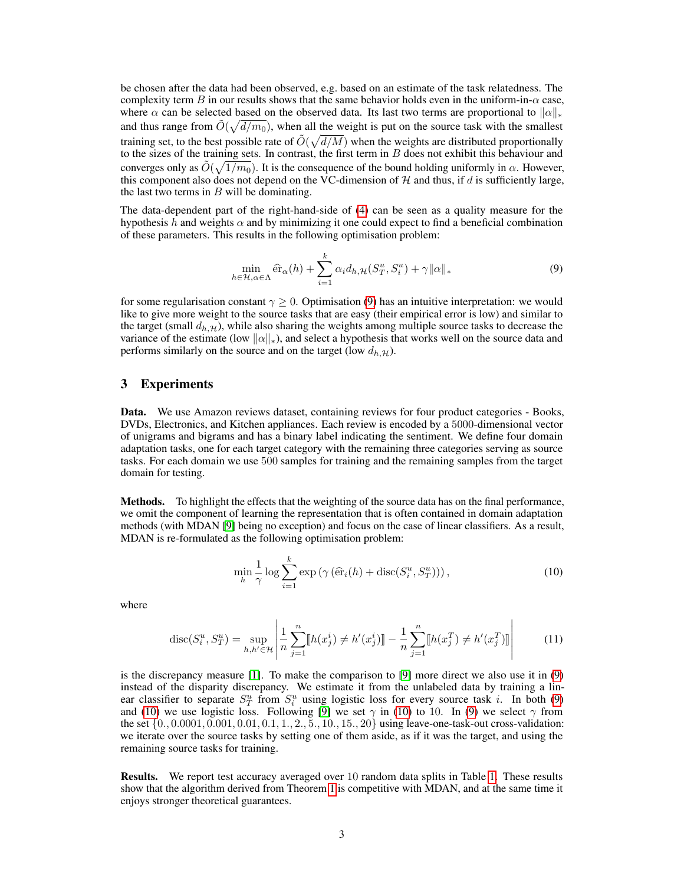be chosen after the data had been observed, e.g. based on an estimate of the task relatedness. The complexity term B in our results shows that the same behavior holds even in the uniform-in- $\alpha$  case, where  $\alpha$  can be selected based on the observed data. Its last two terms are proportional to  $\|\alpha\|_*$ and thus range from  $\tilde{O}(\sqrt{d/m_0})$ , when all the weight is put on the source task with the smallest training set, to the best possible rate of  $\tilde{O}(\sqrt{d/M})$  when the weights are distributed proportionally to the sizes of the training sets. In contrast, the first term in  $B$  does not exhibit this behaviour and converges only as  $\tilde{O}(\sqrt{1/m_0})$ . It is the consequence of the bound holding uniformly in  $\alpha$ . However, this component also does not depend on the VC-dimension of  $H$  and thus, if d is sufficiently large, the last two terms in  $B$  will be dominating.

The data-dependent part of the right-hand-side of [\(4\)](#page-1-1) can be seen as a quality measure for the hypothesis h and weights  $\alpha$  and by minimizing it one could expect to find a beneficial combination of these parameters. This results in the following optimisation problem:

<span id="page-2-0"></span>
$$
\min_{h \in \mathcal{H}, \alpha \in \Lambda} \widehat{\text{er}}_{\alpha}(h) + \sum_{i=1}^{k} \alpha_i d_{h, \mathcal{H}}(S_T^u, S_i^u) + \gamma ||\alpha||_* \tag{9}
$$

for some regularisation constant  $\gamma \geq 0$ . Optimisation [\(9\)](#page-2-0) has an intuitive interpretation: we would like to give more weight to the source tasks that are easy (their empirical error is low) and similar to the target (small  $d_h, \mathcal{H}$ ), while also sharing the weights among multiple source tasks to decrease the variance of the estimate (low  $\|\alpha\|_{*}$ ), and select a hypothesis that works well on the source data and performs similarly on the source and on the target (low  $d_{h,\mathcal{H}}$ ).

### 3 Experiments

Data. We use Amazon reviews dataset, containing reviews for four product categories - Books, DVDs, Electronics, and Kitchen appliances. Each review is encoded by a 5000-dimensional vector of unigrams and bigrams and has a binary label indicating the sentiment. We define four domain adaptation tasks, one for each target category with the remaining three categories serving as source tasks. For each domain we use 500 samples for training and the remaining samples from the target domain for testing.

Methods. To highlight the effects that the weighting of the source data has on the final performance, we omit the component of learning the representation that is often contained in domain adaptation methods (with MDAN [\[9\]](#page-3-4) being no exception) and focus on the case of linear classifiers. As a result, MDAN is re-formulated as the following optimisation problem:

<span id="page-2-1"></span>
$$
\min_{h} \frac{1}{\gamma} \log \sum_{i=1}^{k} \exp \left( \gamma \left( \widehat{\text{er}}_{i}(h) + \text{disc}(S_{i}^{u}, S_{T}^{u}) \right) \right), \tag{10}
$$

where

$$
\operatorname{disc}(S_i^u, S_T^u) = \sup_{h, h' \in \mathcal{H}} \left| \frac{1}{n} \sum_{j=1}^n [h(x_j^i) \neq h'(x_j^i)] - \frac{1}{n} \sum_{j=1}^n [h(x_j^T) \neq h'(x_j^T)] \right| \tag{11}
$$

is the discrepancy measure [\[1\]](#page-3-3). To make the comparison to [\[9\]](#page-3-4) more direct we also use it in [\(9\)](#page-2-0) instead of the disparity discrepancy. We estimate it from the unlabeled data by training a linear classifier to separate  $S_T^u$  from  $S_i^u$  using logistic loss for every source task *i*. In both [\(9\)](#page-2-0) and [\(10\)](#page-2-1) we use logistic loss. Following [\[9\]](#page-3-4) we set  $\gamma$  in (10) to 10. In [\(9\)](#page-2-0) we select  $\gamma$  from the set {0., 0.0001, 0.001, 0.01, 0.1, 1., 2., 5., 10., 15., 20} using leave-one-task-out cross-validation: we iterate over the source tasks by setting one of them aside, as if it was the target, and using the remaining source tasks for training.

Results. We report test accuracy averaged over 10 random data splits in Table [1.](#page-3-6) These results show that the algorithm derived from Theorem [1](#page-1-0) is competitive with MDAN, and at the same time it enjoys stronger theoretical guarantees.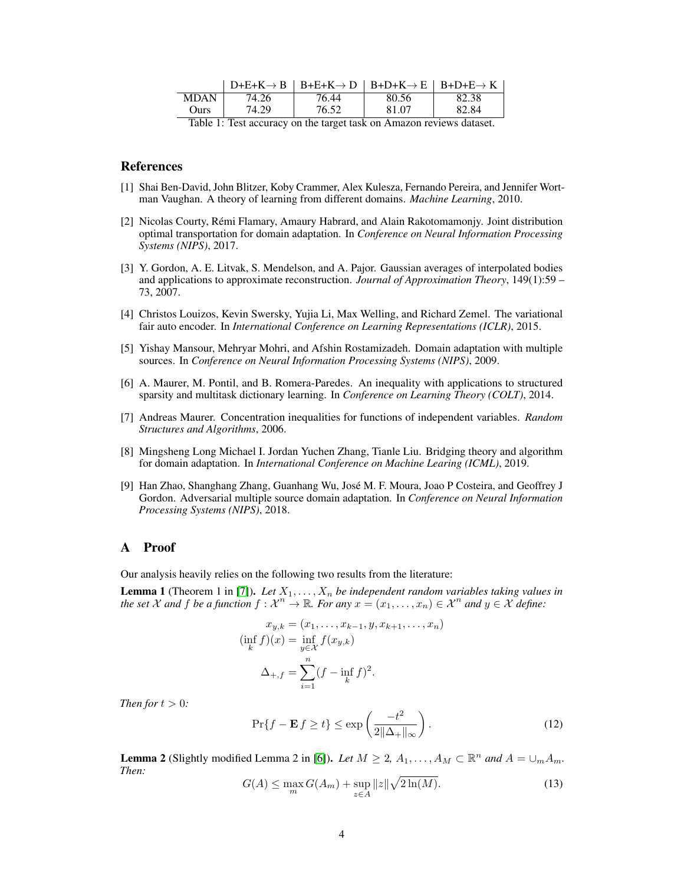|                                  |       | $D+E+K\rightarrow B$   $B+E+K\rightarrow D$   $B+D+K\rightarrow E$   $B+D+E\rightarrow K$ |       |       |
|----------------------------------|-------|-------------------------------------------------------------------------------------------|-------|-------|
| <b>MDAN</b>                      | 74.26 | 76.44                                                                                     | 80.56 | 82.38 |
| Ours                             | 74.29 | 76.52                                                                                     | 81.07 | 82.84 |
| $\mathbf{m}$ 11 1 $\mathbf{m}$ . |       |                                                                                           |       |       |

<span id="page-3-6"></span>Table 1: Test accuracy on the target task on Amazon reviews dataset.

#### References

- <span id="page-3-3"></span>[1] Shai Ben-David, John Blitzer, Koby Crammer, Alex Kulesza, Fernando Pereira, and Jennifer Wortman Vaughan. A theory of learning from different domains. *Machine Learning*, 2010.
- <span id="page-3-1"></span>[2] Nicolas Courty, Rémi Flamary, Amaury Habrard, and Alain Rakotomamonjy. Joint distribution optimal transportation for domain adaptation. In *Conference on Neural Information Processing Systems (NIPS)*, 2017.
- <span id="page-3-10"></span>[3] Y. Gordon, A. E. Litvak, S. Mendelson, and A. Pajor. Gaussian averages of interpolated bodies and applications to approximate reconstruction. *Journal of Approximation Theory*, 149(1):59 – 73, 2007.
- <span id="page-3-2"></span>[4] Christos Louizos, Kevin Swersky, Yujia Li, Max Welling, and Richard Zemel. The variational fair auto encoder. In *International Conference on Learning Representations (ICLR)*, 2015.
- <span id="page-3-0"></span>[5] Yishay Mansour, Mehryar Mohri, and Afshin Rostamizadeh. Domain adaptation with multiple sources. In *Conference on Neural Information Processing Systems (NIPS)*, 2009.
- <span id="page-3-8"></span>[6] A. Maurer, M. Pontil, and B. Romera-Paredes. An inequality with applications to structured sparsity and multitask dictionary learning. In *Conference on Learning Theory (COLT)*, 2014.
- <span id="page-3-7"></span>[7] Andreas Maurer. Concentration inequalities for functions of independent variables. *Random Structures and Algorithms*, 2006.
- <span id="page-3-5"></span>[8] Mingsheng Long Michael I. Jordan Yuchen Zhang, Tianle Liu. Bridging theory and algorithm for domain adaptation. In *International Conference on Machine Learing (ICML)*, 2019.
- <span id="page-3-4"></span>[9] Han Zhao, Shanghang Zhang, Guanhang Wu, José M. F. Moura, Joao P Costeira, and Geoffrey J Gordon. Adversarial multiple source domain adaptation. In *Conference on Neural Information Processing Systems (NIPS)*, 2018.

#### A Proof

Our analysis heavily relies on the following two results from the literature:

**Lemma 1** (Theorem 1 in [\[7\]](#page-3-7)). Let  $X_1, \ldots, X_n$  be independent random variables taking values in *the set*  $X$  and  $f$  *be a function*  $f: X^n \to \mathbb{R}$ *. For any*  $x = (x_1, \ldots, x_n) \in X^n$  and  $y \in X$  *define:* 

$$
x_{y,k} = (x_1, \dots, x_{k-1}, y, x_{k+1}, \dots, x_n)
$$
  
\n
$$
(\inf_k f)(x) = \inf_{y \in \mathcal{X}} f(x_{y,k})
$$
  
\n
$$
\Delta_{+,f} = \sum_{i=1}^n (f - \inf_k f)^2.
$$

*Then for*  $t > 0$ *:* 

<span id="page-3-9"></span>
$$
\Pr\{f - \mathbf{E}f \ge t\} \le \exp\left(\frac{-t^2}{2\|\Delta + \|\infty}\right). \tag{12}
$$

<span id="page-3-11"></span>**Lemma 2** (Slightly modified Lemma 2 in [\[6\]](#page-3-8)). *Let*  $M \geq 2$ ,  $A_1, \ldots, A_M \subset \mathbb{R}^n$  and  $A = \bigcup_m A_m$ . *Then:*

$$
G(A) \le \max_{m} G(A_m) + \sup_{z \in A} ||z|| \sqrt{2\ln(M)}.
$$
 (13)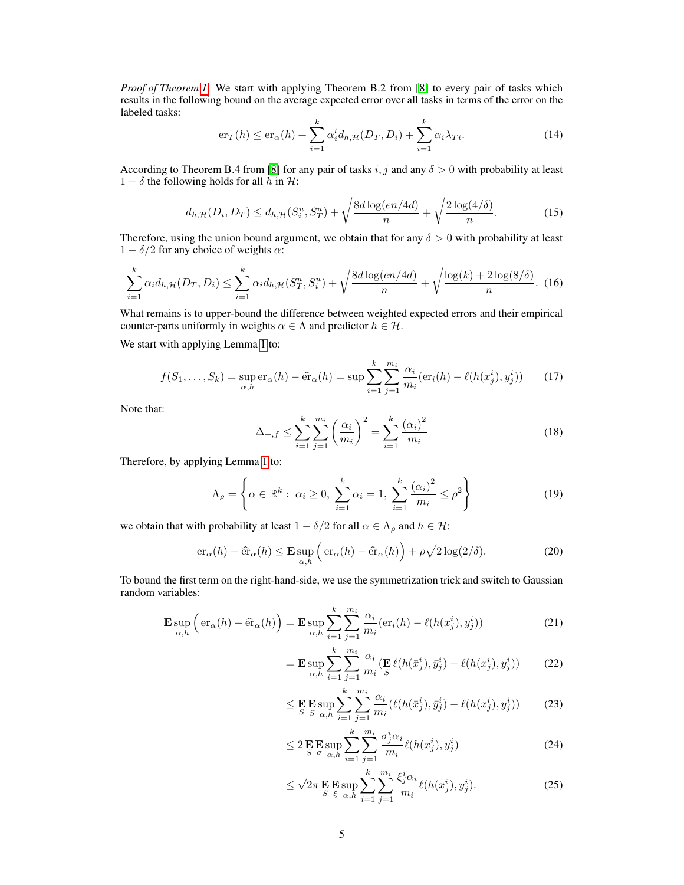*Proof of Theorem [1.](#page-1-0)* We start with applying Theorem B.2 from [\[8\]](#page-3-5) to every pair of tasks which results in the following bound on the average expected error over all tasks in terms of the error on the labeled tasks:

$$
\mathrm{er}_{T}(h) \leq \mathrm{er}_{\alpha}(h) + \sum_{i=1}^{k} \alpha_{i}^{t} d_{h, \mathcal{H}}(D_{T}, D_{i}) + \sum_{i=1}^{k} \alpha_{i} \lambda_{Ti}.
$$
 (14)

According to Theorem B.4 from [\[8\]](#page-3-5) for any pair of tasks i, j and any  $\delta > 0$  with probability at least  $1 - \delta$  the following holds for all h in H:

<span id="page-4-1"></span>
$$
d_{h,\mathcal{H}}(D_i, D_T) \le d_{h,\mathcal{H}}(S_i^u, S_T^u) + \sqrt{\frac{8d\log(en/4d)}{n}} + \sqrt{\frac{2\log(4/\delta)}{n}}.\tag{15}
$$

Therefore, using the union bound argument, we obtain that for any  $\delta > 0$  with probability at least  $1 - \delta/2$  for any choice of weights  $\alpha$ :

$$
\sum_{i=1}^{k} \alpha_i d_{h,\mathcal{H}}(D_T, D_i) \le \sum_{i=1}^{k} \alpha_i d_{h,\mathcal{H}}(S_T^u, S_i^u) + \sqrt{\frac{8d \log(en/4d)}{n}} + \sqrt{\frac{\log(k) + 2 \log(8/\delta)}{n}}.
$$
 (16)

What remains is to upper-bound the difference between weighted expected errors and their empirical counter-parts uniformly in weights  $\alpha \in \Lambda$  and predictor  $h \in \mathcal{H}$ .

We start with applying Lemma [1](#page-3-9) to:

$$
f(S_1, ..., S_k) = \sup_{\alpha, h} \text{er}_{\alpha}(h) - \hat{\text{er}}_{\alpha}(h) = \sup \sum_{i=1}^{k} \sum_{j=1}^{m_i} \frac{\alpha_i}{m_i} (\text{er}_i(h) - \ell(h(x_j^i), y_j^i)) \tag{17}
$$

Note that:

$$
\Delta_{+,f} \le \sum_{i=1}^{k} \sum_{j=1}^{m_i} \left(\frac{\alpha_i}{m_i}\right)^2 = \sum_{i=1}^{k} \frac{\left(\alpha_i\right)^2}{m_i}
$$
\n(18)

Therefore, by applying Lemma [1](#page-3-9) to:

$$
\Lambda_{\rho} = \left\{ \alpha \in \mathbb{R}^{k} : \ \alpha_i \ge 0, \ \sum_{i=1}^{k} \alpha_i = 1, \ \sum_{i=1}^{k} \frac{(\alpha_i)^2}{m_i} \le \rho^2 \right\}
$$
(19)

we obtain that with probability at least  $1 - \delta/2$  for all  $\alpha \in \Lambda_\rho$  and  $h \in \mathcal{H}$ :

$$
\mathrm{er}_{\alpha}(h) - \widehat{\mathrm{er}}_{\alpha}(h) \le \mathbf{E} \sup_{\alpha, h} \left( \mathrm{er}_{\alpha}(h) - \widehat{\mathrm{er}}_{\alpha}(h) \right) + \rho \sqrt{2 \log(2/\delta)}.
$$
 (20)

To bound the first term on the right-hand-side, we use the symmetrization trick and switch to Gaussian random variables:

$$
\mathbf{E} \sup_{\alpha,h} \left( \text{er}_{\alpha}(h) - \widehat{\text{er}}_{\alpha}(h) \right) = \mathbf{E} \sup_{\alpha,h} \sum_{i=1}^{k} \sum_{j=1}^{m_i} \frac{\alpha_i}{m_i} (\text{er}_i(h) - \ell(h(x_j^i), y_j^i)) \tag{21}
$$

<span id="page-4-0"></span>
$$
= \mathbf{E} \sup_{\alpha, h} \sum_{i=1}^{k} \sum_{j=1}^{m_i} \frac{\alpha_i}{m_i} (\mathbf{E} \ell(h(\bar{x}_j^i), \bar{y}_j^i) - \ell(h(x_j^i), y_j^i)) \tag{22}
$$

$$
\leq \mathbf{E} \mathbf{E} \sup_{S} \sum_{\alpha, h}^{k} \sum_{i=1}^{m_i} \frac{\alpha_i}{m_i} (\ell(h(\bar{x}_j^i), \bar{y}_j^i) - \ell(h(x_j^i), y_j^i)) \tag{23}
$$

$$
\leq 2 \mathop{\mathbf{E}}_{S} \mathop{\mathbf{E}}_{\sigma} \sup_{\alpha, h} \sum_{i=1}^{k} \sum_{j=1}^{m_i} \frac{\sigma_j^i \alpha_i}{m_i} \ell(h(x_j^i), y_j^i) \tag{24}
$$

$$
\leq \sqrt{2\pi} \mathop{\mathbf{E}}_{S} \mathop{\mathbf{E}}_{\xi} \sup_{\alpha, h} \sum_{i=1}^{k} \sum_{j=1}^{m_i} \frac{\xi_j^i \alpha_i}{m_i} \ell(h(x_j^i), y_j^i). \tag{25}
$$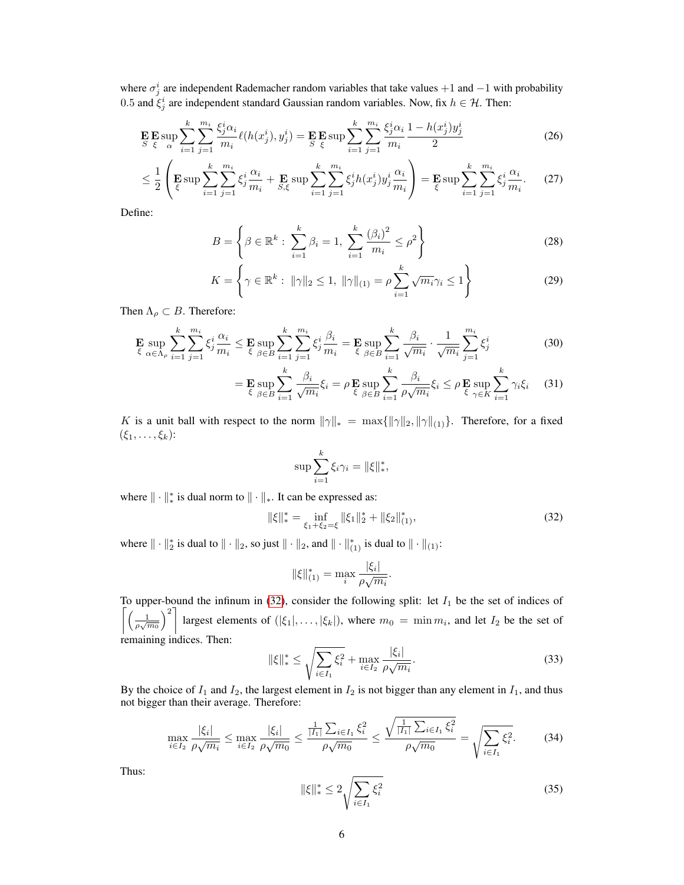where  $\sigma_j^i$  are independent Rademacher random variables that take values  $+1$  and  $-1$  with probability 0.5 and  $\xi_j^i$  are independent standard Gaussian random variables. Now, fix  $h \in \mathcal{H}$ . Then:

$$
\mathbf{E} \mathbf{E} \sup_{S} \sum_{i=1}^{k} \sum_{j=1}^{m_i} \frac{\xi_j^i \alpha_i}{m_i} \ell(h(x_j^i), y_j^i) = \mathbf{E} \mathbf{E} \sup_{S} \sum_{i=1}^{k} \sum_{j=1}^{m_i} \frac{\xi_j^i \alpha_i}{m_i} \frac{1 - h(x_j^i) y_j^i}{2}
$$
(26)

$$
\leq \frac{1}{2} \left( \mathbf{E} \sup \sum_{i=1}^{k} \sum_{j=1}^{m_i} \xi_j^i \frac{\alpha_i}{m_i} + \mathbf{E} \sup \sum_{i=1}^{k} \sum_{j=1}^{m_i} \xi_j^i h(x_j^i) y_j^i \frac{\alpha_i}{m_i} \right) = \mathbf{E} \sup \sum_{i=1}^{k} \sum_{j=1}^{m_i} \xi_j^i \frac{\alpha_i}{m_i}.
$$
 (27)

Define:

<span id="page-5-1"></span>
$$
B = \left\{ \beta \in \mathbb{R}^k : \sum_{i=1}^k \beta_i = 1, \sum_{i=1}^k \frac{(\beta_i)^2}{m_i} \le \rho^2 \right\}
$$
 (28)

$$
K = \left\{ \gamma \in \mathbb{R}^k : \ \|\gamma\|_2 \le 1, \ \|\gamma\|_{(1)} = \rho \sum_{i=1}^k \sqrt{m_i} \gamma_i \le 1 \right\}
$$
 (29)

Then  $\Lambda_{\rho} \subset B$ . Therefore:

$$
\mathbf{E} \sup_{\xi} \sum_{\alpha \in \Lambda_{\rho}} \sum_{i=1}^{k} \sum_{j=1}^{m_{i}} \xi_{j}^{i} \frac{\alpha_{i}}{m_{i}} \leq \mathbf{E} \sup_{\xi \in B} \sum_{i=1}^{k} \sum_{j=1}^{m_{i}} \xi_{j}^{i} \frac{\beta_{i}}{m_{i}} = \mathbf{E} \sup_{\xi \in B} \sum_{i=1}^{k} \frac{\beta_{i}}{\sqrt{m_{i}}} \cdot \frac{1}{\sqrt{m_{i}}} \sum_{j=1}^{m_{i}} \xi_{j}^{i}
$$
(30)

$$
= \mathbf{E} \sup_{\xi} \sum_{\beta \in B}^{k} \frac{\beta_i}{i=1} \sqrt{\gamma m_i} \xi_i = \rho \mathbf{E} \sup_{\xi} \sum_{\beta \in B}^{k} \frac{\beta_i}{i=1} \rho \sqrt{m_i} \xi_i \le \rho \mathbf{E} \sup_{\xi} \sum_{\gamma \in K}^{k} \gamma_i \xi_i \quad (31)
$$

K is a unit ball with respect to the norm  $\|\gamma\|_{*} = \max\{\|\gamma\|_{2}, \|\gamma\|_{(1)}\}.$  Therefore, for a fixed  $(\xi_1,\ldots,\xi_k)$ :

$$
\sup \sum_{i=1}^k \xi_i \gamma_i = ||\xi||_*^*,
$$

where  $\|\cdot\|_*^*$  is dual norm to  $\|\cdot\|_*$ . It can be expressed as:

$$
\|\xi\|_{*}^{*} = \inf_{\xi_{1}+\xi_{2}=\xi} \|\xi_{1}\|_{2}^{*} + \|\xi_{2}\|_{(1)}^{*},
$$
\n(32)

<span id="page-5-0"></span>.

where  $\|\cdot\|_2^*$  is dual to  $\|\cdot\|_2$ , so just  $\|\cdot\|_2$ , and  $\|\cdot\|_{(1)}^*$  is dual to  $\|\cdot\|_{(1)}$ :

$$
\|\xi\|_{(1)}^* = \max_i \frac{|\xi_i|}{\rho \sqrt{m_i}}
$$

To upper-bound the infinum in [\(32\)](#page-5-0), consider the following split: let  $I_1$  be the set of indices of  $\left[\left(\frac{1}{\rho\sqrt{m_0}}\right)^2\right]$ largest elements of  $(|\xi_1|, \ldots, |\xi_k|)$ , where  $m_0 = \min m_i$ , and let  $I_2$  be the set of remaining indices. Then:

$$
\|\xi\|_{*}^{*} \leq \sqrt{\sum_{i \in I_{1}} \xi_{i}^{2}} + \max_{i \in I_{2}} \frac{|\xi_{i}|}{\rho\sqrt{m_{i}}}.
$$
\n(33)

By the choice of  $I_1$  and  $I_2$ , the largest element in  $I_2$  is not bigger than any element in  $I_1$ , and thus not bigger than their average. Therefore:

$$
\max_{i \in I_2} \frac{|\xi_i|}{\rho \sqrt{m_i}} \le \max_{i \in I_2} \frac{|\xi_i|}{\rho \sqrt{m_0}} \le \frac{\frac{1}{|I_1|} \sum_{i \in I_1} \xi_i^2}{\rho \sqrt{m_0}} \le \frac{\sqrt{\frac{1}{|I_1|} \sum_{i \in I_1} \xi_i^2}}{\rho \sqrt{m_0}} = \sqrt{\sum_{i \in I_1} \xi_i^2}.
$$
 (34)

Thus:

$$
\|\xi\|_{*}^{*} \le 2\sqrt{\sum_{i\in I_{1}}\xi_{i}^{2}}
$$
\n(35)